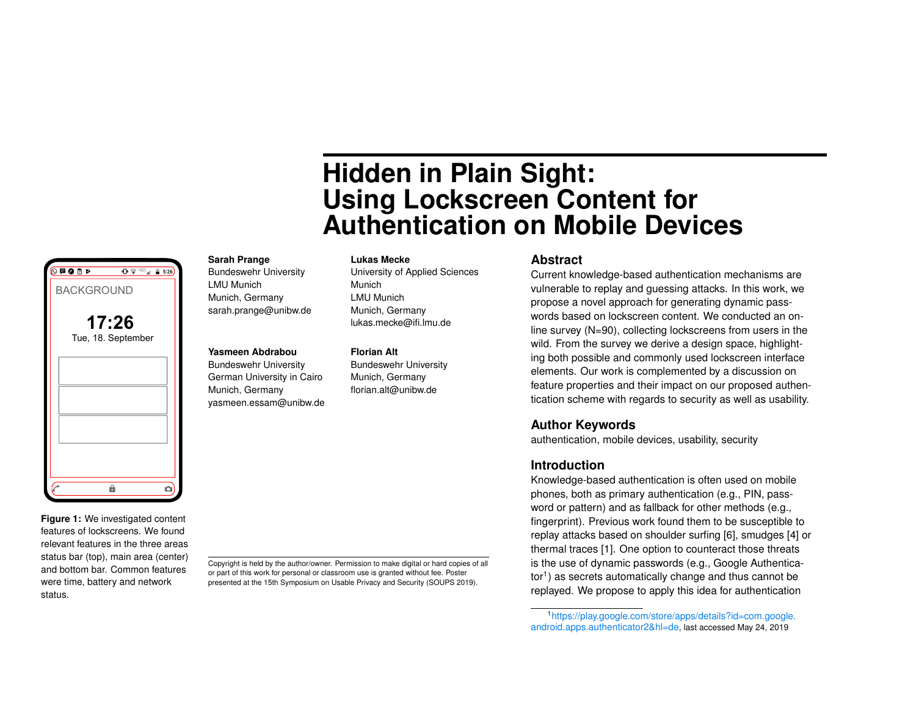# **Hidden in Plain Sight: Using Lockscreen Content for Authentication on Mobile Devices**

# **Sarah Prange**

Bundeswehr University LMU Munich Munich, Germany sarah.prange@unibw.de

## **Yasmeen Abdrabou**

German University in Cairo Munich, Germany yasmeen.essam@unibw.de

University of Applied Sciences Munich LMU Munich Munich, Germany lukas.mecke@ifi.lmu.de

**Lukas Mecke**

#### **Florian Alt**

Bundeswehr University Munich, Germany florian.alt@unibw.de

### **Abstract**

Current knowledge-based authentication mechanisms are vulnerable to replay and guessing attacks. In this work, we propose a novel approach for generating dynamic passwords based on lockscreen content. We conducted an online survey (N=90), collecting lockscreens from users in the wild. From the survey we derive a design space, highlighting both possible and commonly used lockscreen interface elements. Our work is complemented by a discussion on feature properties and their impact on our proposed authentication scheme with regards to security as well as usability.

## **Author Keywords**

authentication, mobile devices, usability, security

## **Introduction**

Knowledge-based authentication is often used on mobile phones, both as primary authentication (e.g., PIN, password or pattern) and as fallback for other methods (e.g., fingerprint). Previous work found them to be susceptible to replay attacks based on shoulder surfing [\[6\]](#page-4-0), smudges [\[4\]](#page-4-1) or thermal traces [\[1\]](#page-4-2). One option to counteract those threats is the use of dynamic passwords (e.g., Google Authentica-tor<sup>[1](#page-0-0)</sup>) as secrets automatically change and thus cannot be replayed. We propose to apply this idea for authentication

**Figure 1:** We investigated content features of lockscreens. We found relevant features in the three areas status bar (top), main area (center) and bottom bar. Common features were time, battery and network status.

<span id="page-0-1"></span> $\hat{\mathbf{a}}$ 

മി

BACKGROUND

 $\overline{\mathbb{O}}$  FOR

**17:26** Tue, 18. September

 $\bigoplus$   $\bigcirc$   $\bigcirc$   $\bigcirc$   $\bigoplus$   $\bigoplus$  5:26

Copyright is held by the author/owner. Permission to make digital or hard copies of all or part of this work for personal or classroom use is granted without fee. Poster presented at the 15th Symposium on Usable Privacy and Security (SOUPS 2019).

Bundeswehr University

<span id="page-0-0"></span><sup>1</sup>[https://play.google.com/store/apps/details?id=com.google.](https://play.google.com/store/apps/details?id=com.google.android.apps.authenticator2&hl=de) [android.apps.authenticator2&hl=de](https://play.google.com/store/apps/details?id=com.google.android.apps.authenticator2&hl=de), last accessed May 24, 2019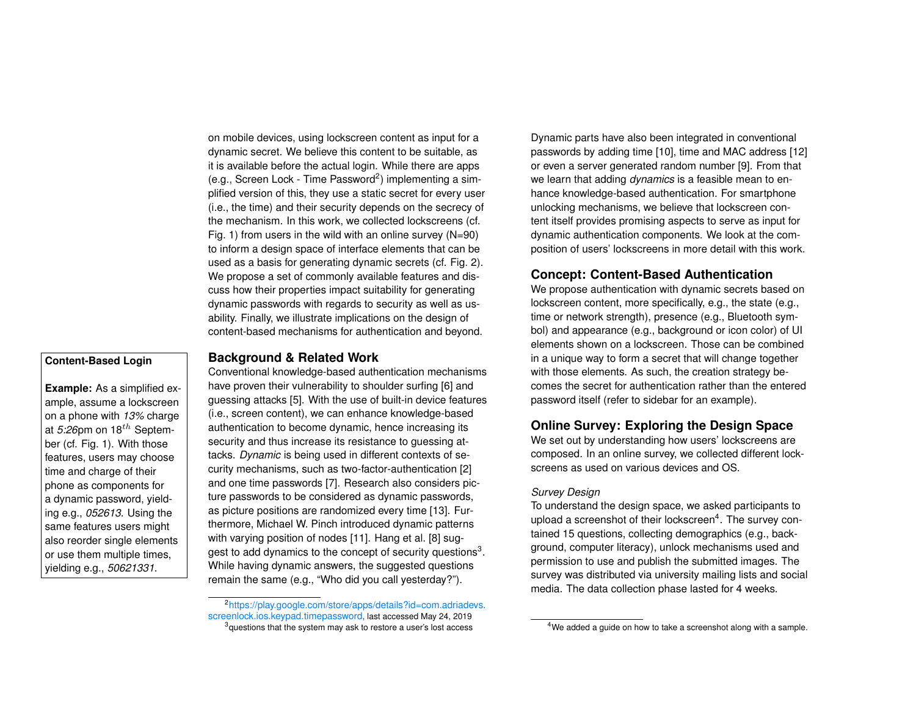on mobile devices, using lockscreen content as input for a dynamic secret. We believe this content to be suitable, as it is available before the actual login. While there are apps (e.g., Screen Lock - Time Password<sup>[2](#page-1-0)</sup>) implementing a simplified version of this, they use a static secret for every user (i.e., the time) and their security depends on the secrecy of the mechanism. In this work, we collected lockscreens (cf. Fig. [1\)](#page-0-1) from users in the wild with an online survey (N=90) to inform a design space of interface elements that can be used as a basis for generating dynamic secrets (cf. Fig. [2\)](#page-2-0). We propose a set of commonly available features and discuss how their properties impact suitability for generating dynamic passwords with regards to security as well as usability. Finally, we illustrate implications on the design of content-based mechanisms for authentication and beyond.

# **Content-Based Login**

**Example:** As a simplified example, assume a lockscreen on a phone with *13%* charge at  $5:26$ pm on  $18^{th}$  September (cf. Fig. [1\)](#page-0-1). With those features, users may choose time and charge of their phone as components for a dynamic password, yielding e.g., *052613*. Using the same features users might also reorder single elements or use them multiple times, yielding e.g., *50621331*.

## **Background & Related Work**

Conventional knowledge-based authentication mechanisms have proven their vulnerability to shoulder surfing [\[6\]](#page-4-0) and guessing attacks [\[5\]](#page-4-3). With the use of built-in device features (i.e., screen content), we can enhance knowledge-based authentication to become dynamic, hence increasing its security and thus increase its resistance to guessing attacks. *Dynamic* is being used in different contexts of security mechanisms, such as two-factor-authentication [\[2\]](#page-4-4) and one time passwords [\[7\]](#page-4-5). Research also considers picture passwords to be considered as dynamic passwords, as picture positions are randomized every time [\[13\]](#page-4-6). Furthermore, Michael W. Pinch introduced dynamic patterns with varying position of nodes [\[11\]](#page-4-7). Hang et al. [\[8\]](#page-4-8) sug-gest to add dynamics to the concept of security questions<sup>[3](#page-1-1)</sup>. While having dynamic answers, the suggested questions remain the same (e.g., "Who did you call yesterday?").

Dynamic parts have also been integrated in conventional passwords by adding time [\[10\]](#page-4-9), time and MAC address [\[12\]](#page-4-10) or even a server generated random number [\[9\]](#page-4-11). From that we learn that adding *dynamics* is a feasible mean to enhance knowledge-based authentication. For smartphone unlocking mechanisms, we believe that lockscreen content itself provides promising aspects to serve as input for dynamic authentication components. We look at the composition of users' lockscreens in more detail with this work.

## **Concept: Content-Based Authentication**

We propose authentication with dynamic secrets based on lockscreen content, more specifically, e.g., the state (e.g., time or network strength), presence (e.g., Bluetooth symbol) and appearance (e.g., background or icon color) of UI elements shown on a lockscreen. Those can be combined in a unique way to form a secret that will change together with those elements. As such, the creation strategy becomes the secret for authentication rather than the entered password itself (refer to sidebar for an example).

# **Online Survey: Exploring the Design Space**

We set out by understanding how users' lockscreens are composed. In an online survey, we collected different lockscreens as used on various devices and OS.

#### *Survey Design*

To understand the design space, we asked participants to upload a screenshot of their lockscreen<sup>[4](#page-1-2)</sup>. The survey contained 15 questions, collecting demographics (e.g., background, computer literacy), unlock mechanisms used and permission to use and publish the submitted images. The survey was distributed via university mailing lists and social media. The data collection phase lasted for 4 weeks.

<span id="page-1-1"></span><span id="page-1-0"></span><sup>2</sup>[https://play.google.com/store/apps/details?id=com.adriadevs.](https://play.google.com/store/apps/details?id=com.adriadevs.screenlock.ios.keypad.timepassword) [screenlock.ios.keypad.timepassword](https://play.google.com/store/apps/details?id=com.adriadevs.screenlock.ios.keypad.timepassword), last accessed May 24, 2019  $3$  questions that the system may ask to restore a user's lost access

<span id="page-1-2"></span><sup>&</sup>lt;sup>4</sup>We added a guide on how to take a screenshot along with a sample.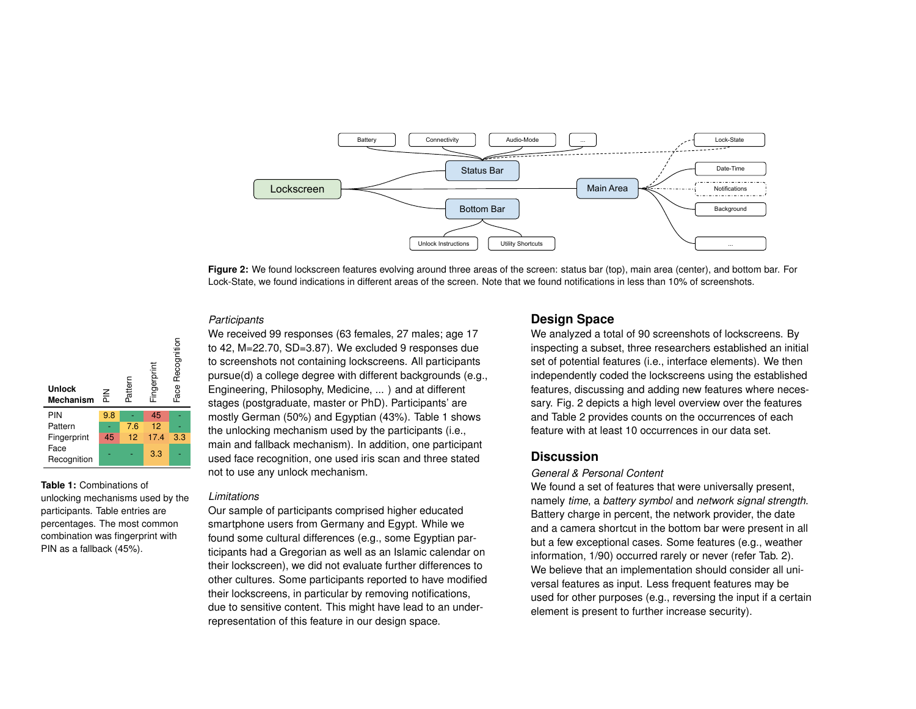<span id="page-2-0"></span>

**Figure 2:** We found lockscreen features evolving around three areas of the screen: status bar (top), main area (center), and bottom bar. For Lock-State, we found indications in different areas of the screen. Note that we found notifications in less than 10% of screenshots.

## *Participants*

 $\overline{a}$ 

| <b>Unlock</b><br><b>Mechanism</b> | 즡   | Pattern | Fingerprint | Face Recognition |  |
|-----------------------------------|-----|---------|-------------|------------------|--|
| PIN                               | 9.8 |         | 45          |                  |  |
| Pattern                           |     | 7.6     | 12          |                  |  |
| Fingerprint                       | 45  | 12      | 17.4        | 3.3              |  |
| Face<br>Recognition               |     |         | 3.3         |                  |  |

<span id="page-2-1"></span>**Table 1:** Combinations of unlocking mechanisms used by the participants. Table entries are percentages. The most common combination was fingerprint with PIN as a fallback (45%).

We received 99 responses (63 females, 27 males; age 17 to 42, M=22.70, SD=3.87). We excluded 9 responses due to screenshots not containing lockscreens. All participants pursue(d) a college degree with different backgrounds (e.g., Engineering, Philosophy, Medicine, ... ) and at different stages (postgraduate, master or PhD). Participants' are mostly German (50%) and Egyptian (43%). Table [1](#page-2-1) shows the unlocking mechanism used by the participants (i.e., main and fallback mechanism). In addition, one participant used face recognition, one used iris scan and three stated not to use any unlock mechanism.

#### *Limitations*

Our sample of participants comprised higher educated smartphone users from Germany and Egypt. While we found some cultural differences (e.g., some Egyptian participants had a Gregorian as well as an Islamic calendar on their lockscreen), we did not evaluate further differences to other cultures. Some participants reported to have modified their lockscreens, in particular by removing notifications, due to sensitive content. This might have lead to an underrepresentation of this feature in our design space.

## **Design Space**

We analyzed a total of 90 screenshots of lockscreens. By inspecting a subset, three researchers established an initial set of potential features (i.e., interface elements). We then independently coded the lockscreens using the established features, discussing and adding new features where necessary. Fig. [2](#page-2-0) depicts a high level overview over the features and Table [2](#page-3-0) provides counts on the occurrences of each feature with at least 10 occurrences in our data set.

## **Discussion**

#### *General & Personal Content*

We found a set of features that were universally present, namely *time*, a *battery symbol* and *network signal strength*. Battery charge in percent, the network provider, the date and a camera shortcut in the bottom bar were present in all but a few exceptional cases. Some features (e.g., weather information, 1/90) occurred rarely or never (refer Tab. [2\)](#page-3-0). We believe that an implementation should consider all universal features as input. Less frequent features may be used for other purposes (e.g., reversing the input if a certain element is present to further increase security).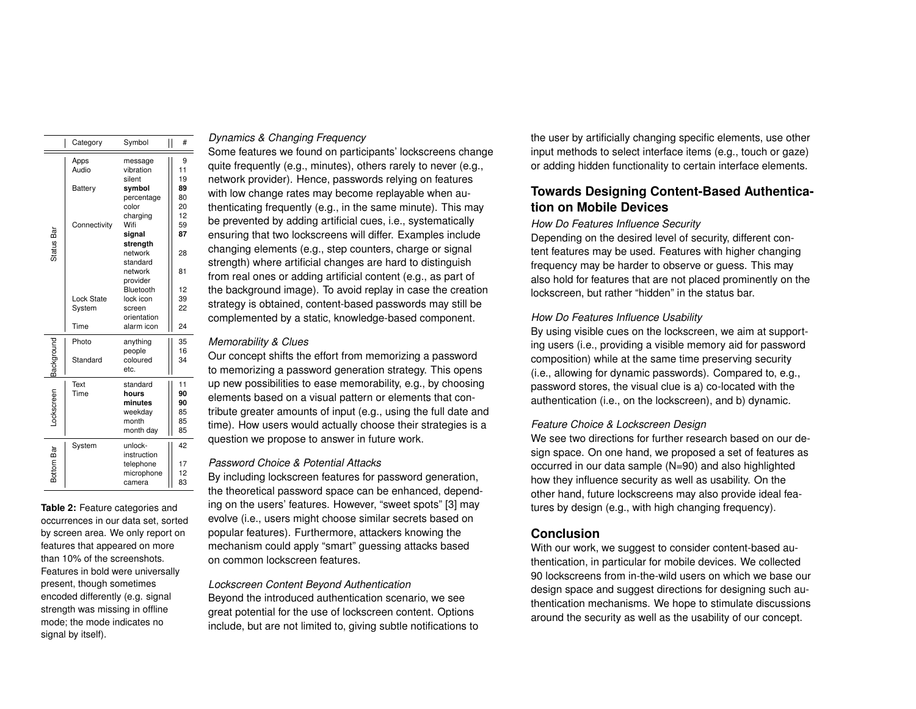|                      | Category       | Symbol      | #<br>Π |
|----------------------|----------------|-------------|--------|
|                      | Apps           | message     | 9      |
|                      | Audio          | vibration   | 11     |
|                      |                | silent      | 19     |
|                      | <b>Battery</b> | symbol      | 89     |
|                      |                | percentage  | 80     |
|                      |                | color       | 20     |
|                      |                | charging    | 12     |
|                      | Connectivity   | Wifi        | 59     |
| Status Bar           |                | signal      | 87     |
|                      |                | strength    |        |
|                      |                | network     | 28     |
| Lock State<br>System |                | standard    |        |
|                      |                | network     | 81     |
|                      |                | provider    |        |
|                      |                | Bluetooth   | 12     |
|                      |                | lock icon   | 39     |
|                      |                | screen      | 22     |
|                      |                | orientation |        |
|                      | Time           | alarm icon  | 24     |
|                      | Photo          | anything    | 35     |
|                      |                | people      | 16     |
|                      | Standard       | coloured    | 34     |
| Background           |                | etc.        |        |
|                      | Text           | standard    | 11     |
| Lockscreen<br>Time   |                | hours       | 90     |
|                      |                | minutes     | 90     |
|                      |                | weekday     | 85     |
|                      |                | month       | 85     |
|                      |                | month day   | 85     |
|                      | System         | unlock-     | 42     |
|                      |                | instruction |        |
|                      |                | telephone   | 17     |
| Bottom Bar           |                | microphone  | 12     |
|                      |                | camera      | 83     |

<span id="page-3-0"></span>**Table 2:** Feature categories and occurrences in our data set, sorted by screen area. We only report on features that appeared on more than 10% of the screenshots. Features in bold were universally present, though sometimes encoded differently (e.g. signal strength was missing in offline mode; the mode indicates no signal by itself).

## *Dynamics & Changing Frequency*

Some features we found on participants' lockscreens change quite frequently (e.g., minutes), others rarely to never (e.g., network provider). Hence, passwords relying on features with low change rates may become replayable when authenticating frequently (e.g., in the same minute). This may be prevented by adding artificial cues, i.e., systematically ensuring that two lockscreens will differ. Examples include changing elements (e.g., step counters, charge or signal strength) where artificial changes are hard to distinguish from real ones or adding artificial content (e.g., as part of the background image). To avoid replay in case the creation strategy is obtained, content-based passwords may still be complemented by a static, knowledge-based component.

## *Memorability & Clues*

Our concept shifts the effort from memorizing a password to memorizing a password generation strategy. This opens up new possibilities to ease memorability, e.g., by choosing elements based on a visual pattern or elements that contribute greater amounts of input (e.g., using the full date and time). How users would actually choose their strategies is a question we propose to answer in future work.

#### *Password Choice & Potential Attacks*

By including lockscreen features for password generation, the theoretical password space can be enhanced, depending on the users' features. However, "sweet spots" [\[3\]](#page-4-12) may evolve (i.e., users might choose similar secrets based on popular features). Furthermore, attackers knowing the mechanism could apply "smart" guessing attacks based on common lockscreen features.

*Lockscreen Content Beyond Authentication* Beyond the introduced authentication scenario, we see great potential for the use of lockscreen content. Options include, but are not limited to, giving subtle notifications to the user by artificially changing specific elements, use other input methods to select interface items (e.g., touch or gaze) or adding hidden functionality to certain interface elements.

# **Towards Designing Content-Based Authentication on Mobile Devices**

#### *How Do Features Influence Security*

Depending on the desired level of security, different content features may be used. Features with higher changing frequency may be harder to observe or guess. This may also hold for features that are not placed prominently on the lockscreen, but rather "hidden" in the status bar.

## *How Do Features Influence Usability*

By using visible cues on the lockscreen, we aim at supporting users (i.e., providing a visible memory aid for password composition) while at the same time preserving security (i.e., allowing for dynamic passwords). Compared to, e.g., password stores, the visual clue is a) co-located with the authentication (i.e., on the lockscreen), and b) dynamic.

## *Feature Choice & Lockscreen Design*

We see two directions for further research based on our design space. On one hand, we proposed a set of features as occurred in our data sample (N=90) and also highlighted how they influence security as well as usability. On the other hand, future lockscreens may also provide ideal features by design (e.g., with high changing frequency).

## **Conclusion**

With our work, we suggest to consider content-based authentication, in particular for mobile devices. We collected 90 lockscreens from in-the-wild users on which we base our design space and suggest directions for designing such authentication mechanisms. We hope to stimulate discussions around the security as well as the usability of our concept.